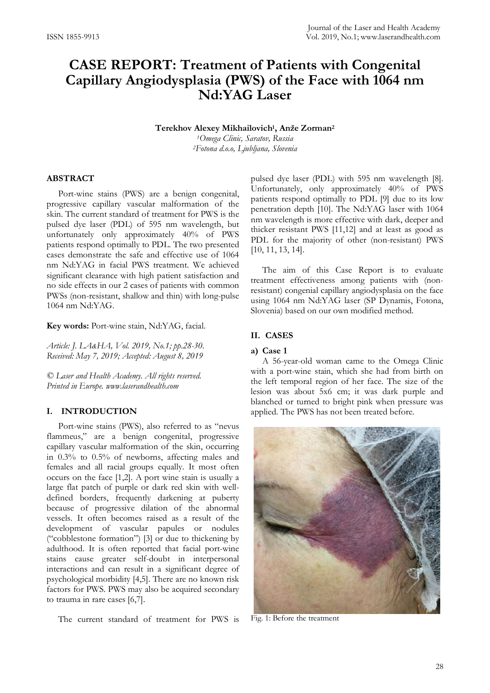# **CASE REPORT: Treatment of Patients with Congenital Capillary Angiodysplasia (PWS) of the Face with 1064 nm Nd:YAG Laser**

**Terekhov Alexey Mikhailovich1, Anže Zorman<sup>2</sup>**

*1Omega Clinic, Saratov, Russia 2Fotona d.o.o, Ljubljana, Slovenia*

## **ABSTRACT**

Port-wine stains (PWS) are a benign congenital, progressive capillary vascular malformation of the skin. The current standard of treatment for PWS is the pulsed dye laser (PDL) of 595 nm wavelength, but unfortunately only approximately 40% of PWS patients respond optimally to PDL. The two presented cases demonstrate the safe and effective use of 1064 nm Nd:YAG in facial PWS treatment. We achieved significant clearance with high patient satisfaction and no side effects in our 2 cases of patients with common PWSs (non-resistant, shallow and thin) with long-pulse 1064 nm Nd:YAG.

**Key words:** Port-wine stain, Nd:YAG, facial.

*Article: J. LA&HA, Vol. 2019, No.1; pp.28-30. Received: May 7, 2019; Accepted: August 8, 2019*

*© Laser and Health Academy. All rights reserved. Printed in Europe. www.laserandhealth.com*

## **I. INTRODUCTION**

Port-wine stains (PWS), also referred to as "nevus flammeus," are a benign congenital, progressive capillary vascular malformation of the skin, occurring in 0.3% to 0.5% of newborns, affecting males and females and all racial groups equally. It most often occurs on the face [1,2]. A port wine stain is usually a large flat patch of purple or dark red skin with welldefined borders, frequently darkening at puberty because of progressive dilation of the abnormal vessels. It often becomes raised as a result of the development of vascular papules or nodules ("cobblestone formation") [3] or due to thickening by adulthood. It is often reported that facial port-wine stains cause greater self-doubt in interpersonal interactions and can result in a significant degree of psychological morbidity [4,5]. There are no known risk factors for PWS. PWS may also be acquired secondary to trauma in rare cases [6,7].

The current standard of treatment for PWS is

pulsed dye laser (PDL) with 595 nm wavelength [8]. Unfortunately, only approximately 40% of PWS patients respond optimally to PDL [9] due to its low penetration depth [10]. The Nd:YAG laser with 1064 nm wavelength is more effective with dark, deeper and thicker resistant PWS [11,12] and at least as good as PDL for the majority of other (non-resistant) PWS [10, 11, 13, 14].

The aim of this Case Report is to evaluate treatment effectiveness among patients with (nonresistant) congenial capillary angiodysplasia on the face using 1064 nm Nd:YAG laser (SP Dynamis, Fotona, Slovenia) based on our own modified method.

#### **II. CASES**

#### **a) Case 1**

A 56-year-old woman came to the Omega Clinic with a port-wine stain, which she had from birth on the left temporal region of her face. The size of the lesion was about 5x6 cm; it was dark purple and blanched or turned to bright pink when pressure was applied. The PWS has not been treated before.



Fig. 1: Before the treatment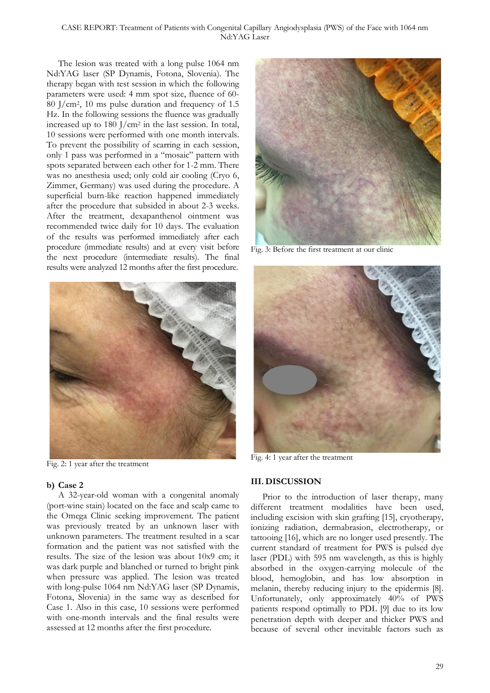The lesion was treated with a long pulse 1064 nm Nd:YAG laser (SP Dynamis, Fotona, Slovenia). The therapy began with test session in which the following parameters were used: 4 mm spot size, fluence of 60- 80 J/cm2, 10 ms pulse duration and frequency of 1.5 Hz. In the following sessions the fluence was gradually increased up to  $180$  J/cm<sup>2</sup> in the last session. In total, 10 sessions were performed with one month intervals. To prevent the possibility of scarring in each session, only 1 pass was performed in a "mosaic" pattern with spots separated between each other for 1-2 mm. There was no anesthesia used; only cold air cooling (Cryo 6, Zimmer, Germany) was used during the procedure. A superficial burn-like reaction happened immediately after the procedure that subsided in about 2-3 weeks. After the treatment, dexapanthenol ointment was recommended twice daily for 10 days. The evaluation of the results was performed immediately after each procedure (immediate results) and at every visit before the next procedure (intermediate results). The final results were analyzed 12 months after the first procedure.



Fig. 2: 1 year after the treatment

## **b) Case 2**

A 32-year-old woman with a congenital anomaly (port-wine stain) located on the face and scalp came to the Omega Clinic seeking improvement. The patient was previously treated by an unknown laser with unknown parameters. The treatment resulted in a scar formation and the patient was not satisfied with the results. The size of the lesion was about 10x9 cm; it was dark purple and blanched or turned to bright pink when pressure was applied. The lesion was treated with long-pulse 1064 nm Nd:YAG laser (SP Dynamis, Fotona, Slovenia) in the same way as described for Case 1. Also in this case, 10 sessions were performed with one-month intervals and the final results were assessed at 12 months after the first procedure.



Fig. 3: Before the first treatment at our clinic



Fig. 4: 1 year after the treatment

# **III. DISCUSSION**

Prior to the introduction of laser therapy, many different treatment modalities have been used, including excision with skin grafting [15], cryotherapy, ionizing radiation, dermabrasion, electrotherapy, or tattooing [16], which are no longer used presently. The current standard of treatment for PWS is pulsed dye laser (PDL) with 595 nm wavelength, as this is highly absorbed in the oxygen-carrying molecule of the blood, hemoglobin, and has low absorption in melanin, thereby reducing injury to the epidermis [8]. Unfortunately, only approximately 40% of PWS patients respond optimally to PDL [9] due to its low penetration depth with deeper and thicker PWS and because of several other inevitable factors such as